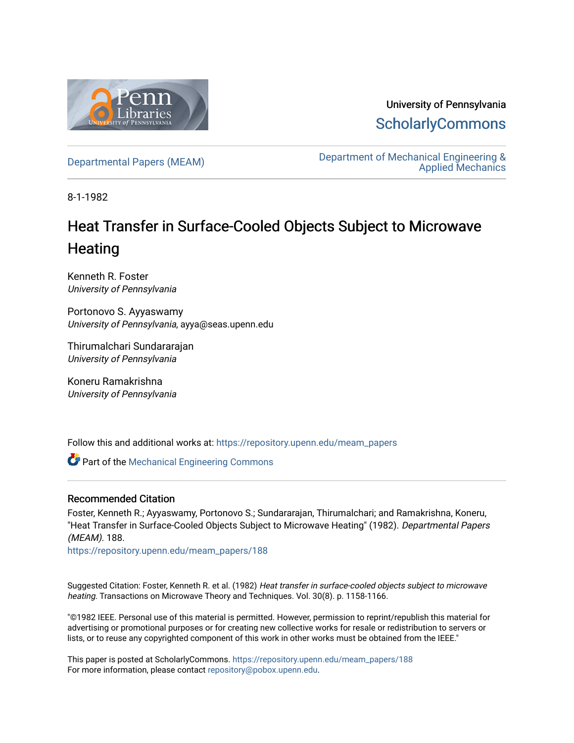

University of Pennsylvania **ScholarlyCommons** 

Departmental Papers (MEAM) Department of Mechanical Engineering & Applied Mechanics

8-1-1982

## Heat Transfer in Surface-Cooled Objects Subject to Microwave **Heating**

Kenneth R. Foster University of Pennsylvania

Portonovo S. Ayyaswamy University of Pennsylvania, ayya@seas.upenn.edu

Thirumalchari Sundararajan University of Pennsylvania

Koneru Ramakrishna University of Pennsylvania

Follow this and additional works at: https://repository.upenn.edu/meam\_papers

**Part of the Mechanical Engineering Commons** 

## Recommended Citation

Foster, Kenneth R.; Ayyaswamy, Portonovo S.; Sundararajan, Thirumalchari; and Ramakrishna, Koneru, "Heat Transfer in Surface-Cooled Objects Subject to Microwave Heating" (1982). Departmental Papers (MEAM). 188.

https://repository.upenn.edu/meam\_papers/188

Suggested Citation: Foster, Kenneth R. et al. (1982) Heat transfer in surface-cooled objects subject to microwave heating. Transactions on Microwave Theory and Techniques. Vol. 30(8). p. 1158-1166.

"©1982 IEEE. Personal use of this material is permitted. However, permission to reprint/republish this material for advertising or promotional purposes or for creating new collective works for resale or redistribution to servers or lists, or to reuse any copyrighted component of this work in other works must be obtained from the IEEE."

This paper is posted at ScholarlyCommons. https://repository.upenn.edu/meam\_papers/188 For more information, please contact repository@pobox.upenn.edu.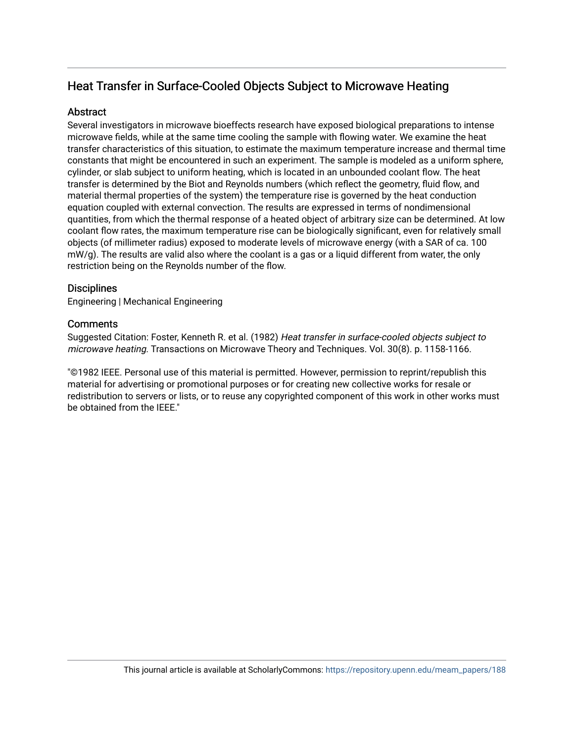## Heat Transfer in Surface-Cooled Objects Subject to Microwave Heating

## **Abstract**

Several investigators in microwave bioeffects research have exposed biological preparations to intense microwave fields, while at the same time cooling the sample with flowing water. We examine the heat transfer characteristics of this situation, to estimate the maximum temperature increase and thermal time constants that might be encountered in such an experiment. The sample is modeled as a uniform sphere, cylinder, or slab subject to uniform heating, which is located in an unbounded coolant flow. The heat transfer is determined by the Biot and Reynolds numbers (which reflect the geometry, fluid flow, and material thermal properties of the system) the temperature rise is governed by the heat conduction equation coupled with external convection. The results are expressed in terms of nondimensional quantities, from which the thermal response of a heated object of arbitrary size can be determined. At low coolant flow rates, the maximum temperature rise can be biologically significant, even for relatively small objects (of millimeter radius) exposed to moderate levels of microwave energy (with a SAR of ca. 100 mW/g). The results are valid also where the coolant is a gas or a liquid different from water, the only restriction being on the Reynolds number of the flow.

## **Disciplines**

Engineering | Mechanical Engineering

## **Comments**

Suggested Citation: Foster, Kenneth R. et al. (1982) Heat transfer in surface-cooled objects subject to microwave heating. Transactions on Microwave Theory and Techniques. Vol. 30(8). p. 1158-1166.

"©1982 IEEE. Personal use of this material is permitted. However, permission to reprint/republish this material for advertising or promotional purposes or for creating new collective works for resale or redistribution to servers or lists, or to reuse any copyrighted component of this work in other works must be obtained from the IEEE."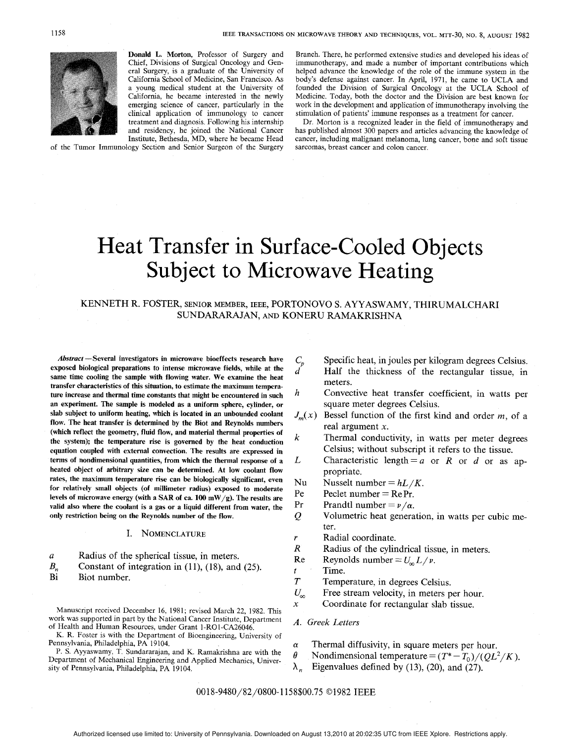

Donald L. Morton, Professor of Surgery and Chief, Divisions of Surgical Oncology and General Surgery, is a graduate of the University of California School of Medicine, San Francisco. As a young medical student at the University of California, he became interested in the newly emerging science of cancer, particularly in the clinical application of immunology to cancer treatment and diagnosis. Following his internship and residency, he joined the National Cancer

Institute, Bethesda, MD, where he became Head of the Tumor Immunology Section and Senior Surgeon of the Surgery Branch. There, he performed extensive studies and developed his ideas of immunotherapy, and made a number of important contributions which helped advance the knowledge of the role of the immune system in the body's defense against cancer. In April, 1971, he came to UCLA and founded the Division of Surgical Oncology at the UCLA School of Medicine. Today, both the doctor and the Division are best known for work in the development and application of immunotherapy involving the stimulation of patients' immune responses as a treatment for cancer.

Dr. Morton is a recognized leader in the field of immunotherapy and has published almost 300 papers and articles advancing the knowledge of cancer, including malignant melanoma, lung cancer, bone and soft tissue sarcomas, breast cancer and colon cancer,

# Heat Transfer in Surface-Cooled Objects Subject to Microwave Heating

## KENNETH R. FOSTER, SENIOR MEMBER, IEEE, PORTONOVO S. AYYASWAMY, THIRUMALCHARI SUNDARARAJAN, AND KONERU RAMAKRISHNA

d

Abstract — Several investigators in microwave bioeffects research have exposed biological preparations to intense microwave fields, while at the same time cooling the sample with flowing water. We examine the heat transfer characteristics of this situation, to estimate the maximum temperature increase and thermal time constants that might be encountered in such an experiment. The sample is modeled as a uniform sphere, cylinder, or slab subject to uniform heating, which is located in an unbounded coolant flow. The heat transfer is determined by the Biot and Reynolds numbers (which reflect the geometry, fluid flow, and material thermal properties of the system); the temperature rise is governed by the heat conduction equation coupled with external convection. The results are expressed in terms of nondimensional quantities, from which the thermal response of a heated object of arbitrary size can be determined. At low coolant flow rates, the maximum temperature rise can be biologically significant, even for relatively small objects (of millimeter radius) exposed to moderate levels of microwave energy (with a SAR of ca. 100 mW/g). The results are valid also where the coolant is a gas or a liquid different from water, the only restriction being on the Reynolds number of the flow.

#### I. NOMENCLATURE

- $\boldsymbol{a}$ Radius of the spherical tissue, in meters.
- $B_n$  Constant of integration in (11), (18), and (25).<br>Bi Biot number.
- Biot number.

Manuscript received December 16, 1981; revised March 22, 1982. This work was supported in part by the National Cancer Institute, Department of Health and Human Resources, under Grant 1-RO 1-CA26046.

K. R. Foster is with the Department of Bioengineering, University of Pennsylvania, Philadelphia, PA 19104.

P. S. Ayyaswamy, T. Sundararajan, and K. Ramakrishna are with the Department of Mechanical Engineering and Applied Mechanics, University of Pennsylvania, Philadelphia, PA 19104.

- $C_p$ Specific heat, in joules per kilogram degrees Celsius. Half the thickness of the rectangular tissue, in meters.
- h Convective heat transfer coefficient, in watts per square meter degrees Celsius.
- $J_m(x)$  Bessel function of the first kind and order m, of a real argument x.
- k Thermal conductivity, in watts per meter degrees Celsius; without subscript it refers to the tissue.
- L Characteristic length =  $a$  or  $R$  or  $d$  or as appropriate.
- Nu Nusselt number =  $hL/K$ .
- Pe Peclet number  $=$  Re Pr.
- Pr Prandtl number  $= \nu/\alpha$ .
- $\mathcal Q$ Volumetric heat generation, in watts per cubic meter.
- Radial coordinate.
- $\boldsymbol{R}$ Radius of the cylindrical tissue, in meters.
- Re Reynolds number  $= U_{\infty} L / v$ .
- t Time.
- $\boldsymbol{T}$ Temperature, in degrees Celsius.
- $U_{\infty}$ Free stream velocity, in meters per hour.
- $\mathbf{x}$ Coordinate for rectangular slab tissue.

#### A. Greek Letters

- $\alpha$  Thermal diffusivity, in square meters per hour.
- $\theta$  Nondimensional temperature =  $(T^* T_0)/(QL^2/K)$ .
- $\lambda_n$  Eigenvalues defined by (13), (20), and (27).

0018-9480/82/0800-1158\$00.75 ©1982 IEEE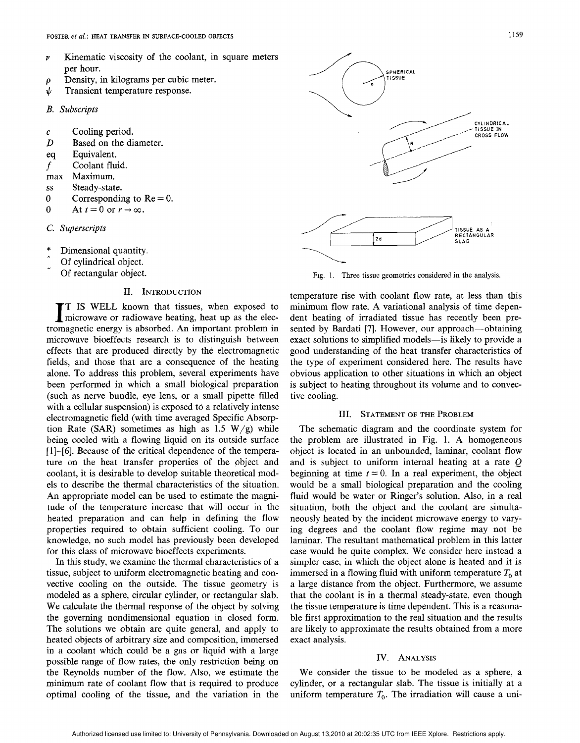- $\nu$  Kinematic viscosity of the coolant, in square meters per hour.
- $\rho$  Density, in kilograms per cubic meter.<br>  $\psi$  Transient temperature response.
- Transient temperature response.
- B. Subscripts
- Cooling period.  $\mathcal{C}_{\mathcal{C}}$
- $D$  Based on the diameter.
- eq Equivalent.
- $f$  Coolant fluid.<br>max Maximum.
- Maximum.
- Ss Steady-state.
- o Corresponding to  $Re = 0$ .
- 0 At  $t=0$  or  $r\rightarrow\infty$ .
- C. Superscript
- \* ,. Dimensional quantity.
- Of cylindrical object.
- Of rectangular object.

#### H. INTRODUCTION

IT IS WELL known that tissues, when exposed to microwave or radiowave heating, heat up as the electromagnetic energy is absorbed. An important problem in T IS WELL known that tissues, when exposed to microwave or radiowave heating, heat up as the elecmicrowave bioeffects research is to distinguish between effects that are produced directly by the electromagnetic fields, and those that are a consequence of the heating alone. To address this problem, several experiments have been performed in which a small biological preparation (such as nerve bundle, eye lens, or a small pipette filled with a cellular suspension) is exposed to a relatively intense electromagnetic field (with time averaged Specific Absorption Rate (SAR) sometimes as high as 1.5  $W/g$ ) while being cooled with a flowing liquid on its outside surface [1]-[6]. Because of the critical dependence of the temperature on the heat transfer properties of the object and coolant, it is desirable to develop suitable theoretical models to describe the thermal characteristics of the situation. An appropriate model can be used to estimate the magnitude of the temperature increase that will occur in the heated preparation and can help in defining the flow properties required to obtain sufficient cooling. To our knowledge, no such model has previously been developed for this class of microwave bioeffects experiments.

In this study, we examine the thermal characteristics of a tissue, subject to uniform electromagnetic heating and convective cooling on the outside. The tissue geometry is modeled as a sphere, circular cylinder, or rectangular slab. We calculate the thermal response of the object by solving the governing nondimensional equation in closed form. The solutions we obtain are quite general, and apply to heated objects of arbitrary size and composition, immersed in a coolant which could be a gas or liquid with a large possible range of flow rates, the only restriction being on the Reynolds number of the flow. Also, we estimate the minimum rate of coolant flow that is required to produce optimal cooling of the tissue, and the variation in the





Fig. 1. Three tissue geometries considered in the analysis.

temperature rise with coolant flow rate, at less than this minimum flow rate. A variational analysis of time dependent heating of irradiated tissue has recently been presented by Bardati [7]. However, our approach— obtaining exact solutions to simplified models—is likely to provide a good understanding of the heat transfer characteristics of the type of experiment considered here. The results have obvious application to other situations in which an object is subject to heating throughout its volume and to convective cooling.

#### HI. STATEMENT OF THE PROBLEM

The schematic diagram and the coordinate system for the problem are illustrated in Fig. 1. A homogeneous object is located in an unbounded, Iarninar, coolant flow and is subject to uniform internal heating at a rate Q beginning at time  $t = 0$ . In a real experiment, the object would be a small biological preparation and the cooling fluid would be water or Ringer's solution. Also, in a real situation, both the object and the coolant are simultaneously heated by the incident microwave energy to varying degrees and the coolant flow regime may not be Iaminar. The resultant mathematical problem in this latter case would be quite complex. We consider here instead a simpler case, in which the object alone is heated and it is immersed in a flowing fluid with uniform temperature  $T_0$  at a large distance from the object. Furthermore, we assume that the coolant is in a thermal steady-state, even though the tissue temperature is time dependent. This is a reasonable first approximation to the real situation and the results are likely to approximate the results obtained from a more exact analysis.

#### IV. ANALYSIS

We consider the tissue to be modeled as a sphere, a cylinder, or a rectangular slab. The tissue is initially at a uniform temperature  $T_0$ . The irradiation will cause a uni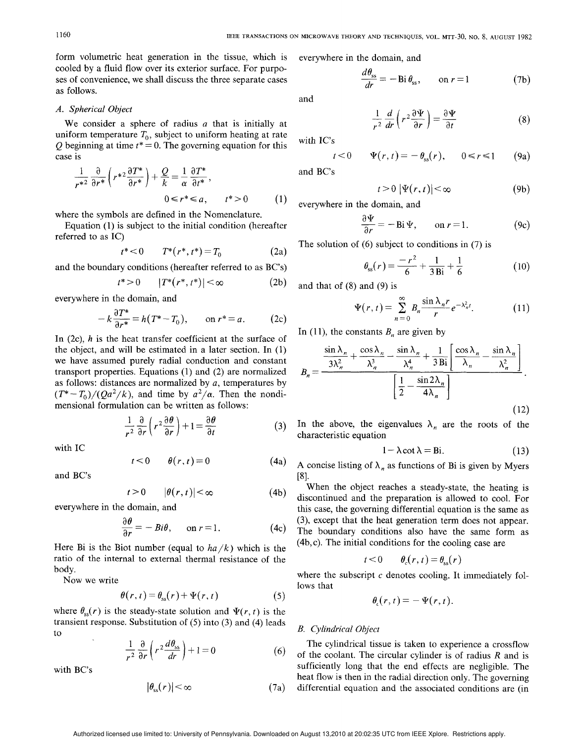form volumetric heat generation in the tissue, which is cooled by a fluid flow over its exterior surface. For purposes of convenience, we shall discuss the three separate cases as follows.

#### A. Spherical Object

We consider a sphere of radius  $a$  that is initially at uniform temperature  $T_0$ , subject to uniform heating at rate Q beginning at time  $t^* = 0$ . The governing equation for this case is

$$
\frac{1}{r^{*2}} \frac{\partial}{\partial r^{*}} \left( r^{*2} \frac{\partial T^{*}}{\partial r^{*}} \right) + \frac{Q}{k} = \frac{1}{\alpha} \frac{\partial T^{*}}{\partial t^{*}},
$$
  

$$
0 \leq r^{*} \leq a, \qquad t^{*} > 0 \tag{1}
$$

where the symbols are defined in the Nomenclature.

Equation (1) is subject to the initial condition (hereafter referred to as IC)

$$
t^* < 0 \qquad T^*(r^*, t^*) = T_0 \tag{2a}
$$

and the boundary conditions (hereafter referred to as BC'S)

$$
t^* > 0 \qquad |T^*(r^*, t^*)| < \infty \tag{2b}
$$

everywhere in the domain, and

$$
-k\frac{\partial T^*}{\partial r^*} = h(T^*-T_0), \qquad \text{on } r^*=a. \tag{2c}
$$

In  $(2c)$ , h is the heat transfer coefficient at the surface of the object, and will be estimated in a later section. In  $(1)$ we have assumed purely radial conduction and constant transport properties. Equations  $(1)$  and  $(2)$  are normalized as follows: distances are normalized by  $a$ , temperatures by  $(T^* - T_0)/(Qa^2/k)$ , and time by  $a^2/\alpha$ . Then the nondimensional formulation can be written as follows:

$$
\frac{1}{r^2} \frac{\partial}{\partial r} \left( r^2 \frac{\partial \theta}{\partial r} \right) + 1 = \frac{\partial \theta}{\partial t}
$$
 (3)

with IC

$$
t<0 \qquad \theta(r,t)=0 \tag{4a}
$$

and BC'S

$$
t > 0 \qquad |\theta(r, t)| < \infty \tag{4b}
$$

everywhere in the domain, and

$$
\frac{\partial \theta}{\partial r} = -Bi\theta, \quad \text{on } r = 1.
$$
 (4c)

Here Bi is the Biot number (equal to  $ha/k$ ) which is the ratio of the internal to external thermal resistance of the body.

Now we write

$$
\theta(r,t) = \theta_{ss}(r) + \Psi(r,t) \tag{5}
$$

where  $\theta_{ss}(r)$  is the steady-state solution and  $\Psi(r, t)$  is the transient response. Substitution of (5) into (3) and (4) leads to

$$
\frac{1}{r^2} \frac{\partial}{\partial r} \left( r^2 \frac{d\theta_{ss}}{dr} \right) + 1 = 0 \tag{6}
$$

with BC'S

$$
|\theta_{\rm ss}(r)| < \infty \tag{7a}
$$

everywhere in the domain, and

$$
\frac{d\theta_{ss}}{dr} = -\operatorname{Bi}\theta_{ss}, \qquad \text{on } r = 1 \tag{7b}
$$

and

$$
\frac{1}{r^2}\frac{d}{dr}\left(r^2\frac{\partial\Psi}{\partial r}\right) = \frac{\partial\Psi}{\partial t}
$$
\n(8)

with IC'S

$$
t<0 \qquad \Psi(r,t)=-\theta_{ss}(r), \qquad 0\leq r\leq 1 \qquad (9a)
$$

and BC'S

$$
t > 0 \, |\Psi(r, t)| < \infty \tag{9b}
$$

everywhere in the domain, and

$$
\frac{\partial \Psi}{\partial r} = -\operatorname{Bi} \Psi, \qquad \text{on } r = 1. \tag{9c}
$$

The solution of (6) subject to conditions in (7) is

$$
\theta_{\rm ss}(r) = \frac{-r^2}{6} + \frac{1}{3 \,\text{Bi}} + \frac{1}{6} \tag{10}
$$

and that of (8) and (9) is

$$
\Psi(r,t) = \sum_{n=0}^{\infty} B_n \frac{\sin \lambda_n r}{r} e^{-\lambda_n^2 t}.
$$
 (11)

In (11), the constants  $B_n$  are given by

$$
B_n = \frac{\frac{\sin \lambda_n}{3\lambda_n^2} + \frac{\cos \lambda_n}{\lambda_n^3} - \frac{\sin \lambda_n}{\lambda_n^4} + \frac{1}{3 \text{Bi}} \left[ \frac{\cos \lambda_n}{\lambda_n} - \frac{\sin \lambda_n}{\lambda_n^2} \right]}{\left[ \frac{1}{2} - \frac{\sin 2\lambda_n}{4\lambda_n} \right]}.
$$
(12)

In the above, the eigenvalues  $\lambda_n$  are the roots of the characteristic equation

$$
1 - \lambda \cot \lambda = \text{Bi.} \tag{13}
$$

A concise listing of  $\lambda_n$  as functions of Bi is given by Myers [8].

When the object reaches a steady-state, the heating is discontinued and the preparation is allowed to cool. For this case, the governing differential equation is the same as (3), except that the heat generation term does not appear. The boundary conditions also have the same form as (4b, c). The initial conditions for the cooling case are

$$
t < 0 \qquad \theta_c(r, t) = \theta_{ss}(r)
$$

where the subscript  $c$  denotes cooling. It immediately follows that

$$
\theta_{\epsilon}(r,t)=-\Psi(r,t).
$$

## **B.** Cylindrical Object

The cylindrical tissue is taken to experience a crossflow of the coolant. The circular cylinder is of radius  $R$  and is sufficiently long that the end effects are negligible. The heat flow is then in the radial direction only. The governing differential equation and the associated conditions are (in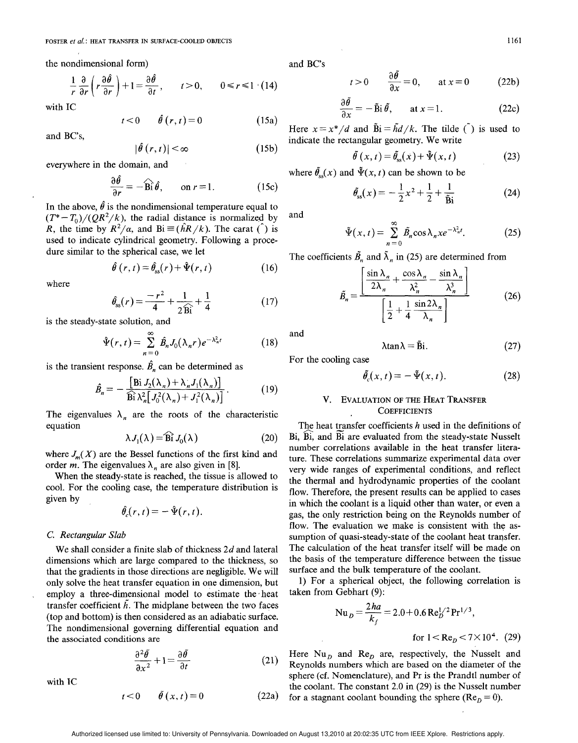the nondimensional form)

$$
\frac{1}{r}\frac{\partial}{\partial r}\left(r\frac{\partial\hat{\theta}}{\partial r}\right)+1=\frac{\partial\hat{\theta}}{\partial t}, \qquad t>0, \qquad 0\leq r\leq 1 \quad (14)
$$

with IC

$$
t < 0 \qquad \hat{\theta}(r, t) = 0 \tag{15a}
$$

and BC'S,

$$
|\hat{\theta}(r,t)| < \infty \tag{15b}
$$

everywhere in the domain, and

$$
\frac{\partial \hat{\theta}}{\partial r} = -\widehat{\mathbf{B}} \hat{\mathbf{i}} \hat{\theta}, \qquad \text{on } r = 1.
$$
 (15c)

In the above,  $\hat{\theta}$  is the nondimensional temperature equal to  $(T^* - T_0)/(QR^2/k)$ , the radial distance is normalized by R, the time by  $R^2/\alpha$ , and Bi  $\equiv (\hat{h}R/k)$ . The carat () is used to indicate cylindrical geometry. Following a procedure similar to the spherical case, we let

$$
\hat{\theta}(r,t) = \hat{\theta}_{\rm ss}(r) + \hat{\Psi}(r,t) \tag{16}
$$

where

$$
\hat{\theta}_{\rm ss}(r) = \frac{-r^2}{4} + \frac{1}{2\widehat{\rm Bi}} + \frac{1}{4} \tag{17}
$$

is the steady-state solution, and

$$
\hat{\Psi}(r,t) = \sum_{n=0}^{\infty} \hat{B}_n J_0(\lambda_n r) e^{-\lambda_n^2 t} \tag{18}
$$

is the transient response.  $\hat{B}_n$  can be determined as

 $\sim$ 

$$
\hat{B}_n = -\frac{\left[\text{Bi}\,J_2(\lambda_n) + \lambda_n J_1(\lambda_n)\right]}{\text{Bi}\,\lambda_n^2 \left[J_0^2(\lambda_n) + J_1^2(\lambda_n)\right]}.
$$
\n(19)

The eigenvalues  $\lambda_n$  are the roots of the characteristic equation

$$
\lambda J_1(\lambda) = \widehat{\mathbf{Bi}} J_0(\lambda) \tag{20}
$$

where  $J_m(X)$  are the Bessel functions of the first kind and order *m*. The eigenvalues  $\lambda_n$  are also given in [8].

When the steady-state is reached, the tissue is allowed to cool. For the cooling case, the temperature distribution is given by

$$
\hat{\theta}_c(r,t)=-\hat{\Psi}(r,t).
$$

#### C. Rectangular Slab

We shall consider a finite slab of thickness  $2d$  and lateral dimensions which are large compared to the thickness, so that the gradients in those directions are negligible. We will only solve the heat transfer equation in one dimension, but employ a three-dimensional model to estimate the heat transfer coefficient  $\bar{h}$ . The midplane between the two faces (top and bottom) is then considered as an adiabatic surface. The nondimensional governing differential equation and the associated conditions are

$$
\frac{\partial^2 \tilde{\theta}}{\partial x^2} + 1 = \frac{\partial \tilde{\theta}}{\partial t}
$$
 (21)

with IC

$$
t < 0 \qquad \tilde{\theta}(x, t) = 0 \tag{22a}
$$

and BC'S

$$
t>0
$$
  $\frac{\partial \theta}{\partial x} = 0$ , at  $x = 0$  (22b)

$$
\frac{\partial \theta}{\partial x} = -\tilde{\mathbf{B}} \mathbf{i} \, \tilde{\theta}, \qquad \text{at } x = 1. \tag{22c}
$$

Here  $x = x^*/d$  and  $\tilde{B}i = \tilde{h}d/k$ . The tilde ( $\tilde{b}$ ) is used to indicate the rectangular geometry. We write

$$
\tilde{\theta}(x,t) = \tilde{\theta}_{ss}(x) + \tilde{\Psi}(x,t) \tag{23}
$$

where  $\tilde{\theta}_{\rm sc}(x)$  and  $\tilde{\Psi}(x, t)$  can be shown to be

$$
\tilde{\theta}_{\rm ss}(x) = -\frac{1}{2}x^2 + \frac{1}{2} + \frac{1}{\tilde{\mathbf{B}}i} \tag{24}
$$

and

$$
\tilde{\Psi}(x,t) = \sum_{n=0}^{\infty} \tilde{B}_n \cos \lambda_n x e^{-\lambda_n^2 t}.
$$
 (25)

The coefficients  $\tilde{B}_n$  and  $\tilde{\lambda}_n$  in (25) are determined from

$$
\tilde{B}_n = \frac{\left[\frac{\sin \lambda_n}{2\lambda_n} + \frac{\cos \lambda_n}{\lambda_n^2} - \frac{\sin \lambda_n}{\lambda_n^3}\right]}{\left[\frac{1}{2} + \frac{1}{4} \frac{\sin 2\lambda_n}{\lambda_n}\right]}
$$
(26)

and

$$
\lambda \tan \lambda = \tilde{B}i. \tag{27}
$$

For the cooling case

$$
\tilde{\theta}_c(x,t) = -\tilde{\Psi}(x,t). \tag{28}
$$

#### V. EVALUATION OF THE HEAT TRANSFER **COEFFICIENTS**

The heat transfer coefficients  $h$  used in the definitions of Bi, Bi, and Bi are evaluated from the steady-state Nusselt number correlations available in the heat transfer literature. These correlations summarize experimental data over very wide ranges of experimental conditions, and reflect the thermal and hydrodynamic properties of the coolant flow. Therefore, the present results can be applied to cases in which the coolant is a liquid other than water, or even a gas, the only restriction being on the Reynolds number of flow. The evaluation we make is consistent with the assumption of quasi-steady-state of the coolant heat transfer. The calculation of the heat transfer itself will be made on the basis of the temperature difference between the tissue surface and the bulk temperature of the coolant.

1) For a spherical object, the following correlation is taken from Gebhart (9):

$$
Nu_{D} = \frac{2ha}{k_f} = 2.0 + 0.6 \text{ Re}_{D}^{1/2} \text{Pr}^{1/3},
$$

for  $1 < Re<sub>p</sub> < 7 \times 10^4$ . (29)

Here  $Nu<sub>D</sub>$  and  $Re<sub>D</sub>$  are, respectively, the Nusselt and Reynolds numbers which are based on the diameter of the sphere (cf. Nomenclature), and Pr is the Prandtl number of the coolant. The constant 2.0 in (29) is the Nusselt number for a stagnant coolant bounding the sphere ( $Re_b = 0$ ).

Authorized licensed use limited to: University of Pennsylvania. Downloaded on August 13,2010 at 20:02:35 UTC from IEEE Xplore. Restrictions apply.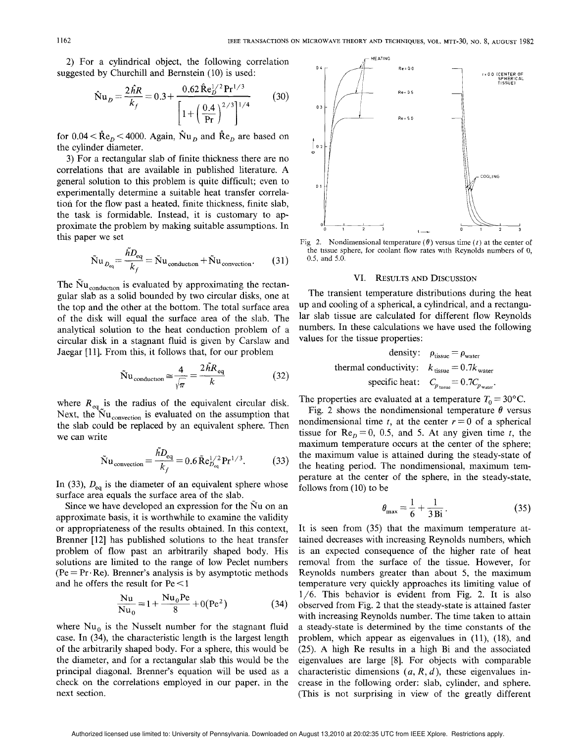2) For a cylindrical object, the following correlation suggested by Churchill and Bernstein (10) is used:

$$
\hat{\mathbf{N}}\mathbf{u}_D = \frac{2\hat{h}R}{k_f} = 0.3 + \frac{0.62 \hat{\mathbf{R}} \mathbf{e}_D^{1/2} \mathbf{Pr}^{1/3}}{\left[1 + \left(\frac{0.4}{\mathbf{Pr}}\right)^{2/3}\right]^{1/4}}
$$
(30)

for  $0.04 < \hat{R}e_p < 4000$ . Again,  $\hat{N}u_p$  and  $\hat{R}e_p$  are based on the cylinder diameter.

3) For a rectangular slab of finite thickness there are no correlations that are available in published literature. A general solution to this problem is quite difficult; even to experimentally determine a suitable heat transfer correlation for the flow past a heated, finite thickness, finite slab, the task is formidable. Instead, it is customary to approximate the problem by making suitable assumptions. In this paper we set

$$
\tilde{\mathbf{N}}\mathbf{u}_{D_{\text{eq}}} = \frac{\tilde{h}D_{\text{eq}}}{k_f} = \tilde{\mathbf{N}}\mathbf{u}_{\text{conduction}} + \tilde{\mathbf{N}}\mathbf{u}_{\text{convection}}.\tag{31}
$$

The  $\rm Nu_{\,\rm conduction}$  is evaluated by approximating the rectangular slab as a solid bounded by two circular disks, one at the top and the other at the bottom. The total surface area of the disk will equal the surface area of the slab. The analytical solution to the heat conduction problem of a circular disk in a stagnant fluid is given by Carslaw and Jaegar [11]. From this, it follows that, for our problem

$$
\tilde{N}u_{\text{conduction}} \approx \frac{4}{\sqrt{\pi}} = \frac{2hR_{\text{eq}}}{k} \tag{32}
$$

where  $R_{eq}$  is the radius of the equivalent circular disk. Next, the  $\overline{\text{Nu}}_{\text{convection}}$  is evaluated on the assumption that the slab could be replaced by an equivalent sphere. Then we can write

$$
\tilde{\mathbf{N}}\mathbf{u}_{\text{convection}} = \frac{hD_{\text{eq}}}{k_f} = 0.6 \,\tilde{\mathbf{R}} \mathbf{e}_{D_{\text{eq}}}^{1/2} \mathbf{P} \mathbf{r}^{1/3}.
$$
 (33)

In (33),  $D_{eq}$  is the diameter of an equivalent sphere whose surface area equals the surface area of the slab.

Since we have developed an expression for the Nu on an approximate basis, it is worthwhile to examine the validity or appropriateness of the results obtained. In this context, Brenner [12] has published solutions to the heat transfer problem of flow past an arbitrarily shaped body. His solutions are limited to the range of low Peclet numbers  $(Pe = Pr \cdot Re)$ . Brenner's analysis is by asymptotic methods and he offers the result for Pe <1

$$
\frac{Nu}{Nu_0} = 1 + \frac{Nu_0 Pe}{8} + 0(Pe^2)
$$
 (34)

where  $Nu_0$  is the Nusselt number for the stagnant fluid case. In (34), the characteristic length is the largest length of the arbitrarily shaped body. For a sphere, this would be the diameter, and for a rectangular slab this would be the principal diagonal. Brenner's equation will be used as a check on the correlations employed in our paper, in the next section.



Fig 2. Nondimensional temperature  $(\theta)$  versus time (*t*) at the center of the tissue sphere, for coolant flow rates with Reynolds numbers of O, 0.5, and 5.0.

#### VI. RESULTS AND DISCUSSION

The transient temperature distributions during the heat up and cooling of a spherical, a cylindrical, and a rectangular slab tissue are calculated for different flow Reynolds numbers. In these calculations we have used the following values for the tissue properties:

density: 
$$
\rho_{\text{tissue}} = \rho_{\text{water}}
$$
  
thermal conductivity:  $k_{\text{tissue}} = 0.7k_{\text{water}}$   
specific heat:  $C_{p_{\text{tissue}}} = 0.7C_{p_{\text{water}}}$ .

The properties are evaluated at a temperature  $T_0 = 30^{\circ}$ C.

Fig. 2 shows the nondimensional temperature  $\theta$  versus nondimensional time t, at the center  $r = 0$  of a spherical tissue for  $Re_b = 0$ , 0.5, and 5. At any given time t, the maximum temperature occurs at the center of the sphere; the maximum value is attained during the steady-state of the heating period. The nondimensional, maximum temperature at the center of the sphere, in the steady-state, follows from (10) to be

$$
\theta_{\text{max}} = \frac{1}{6} + \frac{1}{3 \text{Bi}}.
$$
 (35)

It is seen from (35) that the maximum temperature attained decreases with increasing Reynolds numbers, which is an expected consequence of the higher rate of heat removal from the surface of the tissue. However, for Reynolds numbers greater than about 5, the maximum temperature very quickly approaches its limiting value of 1/6. This behavior is evident from Fig. 2. It is also observed from Fig. 2 that the steady-state is attained faster with increasing Reynolds number. The time taken to attain a steady-state is determined by the time constants of the problem, which appear as eigenvalues in (11), (18), and  $(25)$ . A high Re results in a high Bi and the associated eigenvalues are large [8]. For objects with comparable characteristic dimensions  $(a, R, d)$ , these eigenvalues increase in the following order: slab, cylinder, and sphere. (This is not surprising in view of the greatly different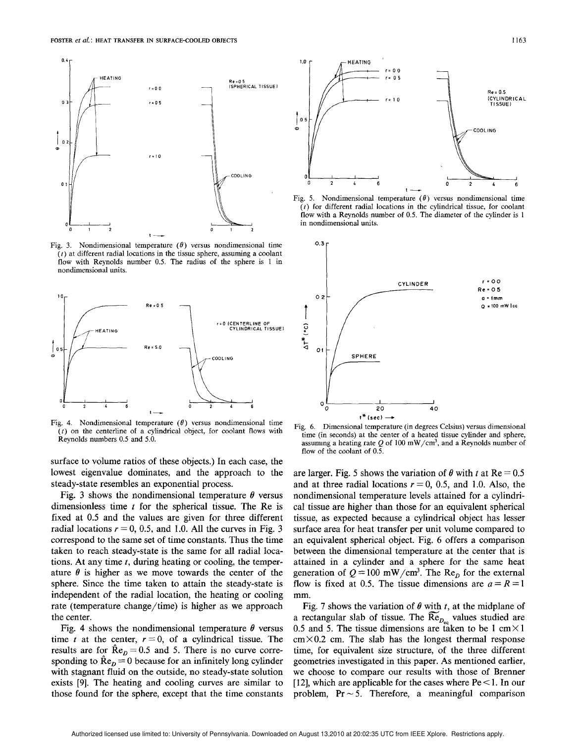

Fig. 3. Nondimensional temperature  $(\theta)$  versus nondimensional time  $(t)$  at different radial locations in the tissue sphere, assuming a coolant flow with Reynolds number 0.5. The radius of the sphere is  $1$  in nondimensional units.



Fig. 4. Nondimensional temperature  $(\theta)$  versus nondimensional time  $(t)$  on the centerline of a cylindrical object, for coolant flows with Reynolds numbers 0.5 and 5.0.

surface to volume ratios of these objects.) In each case, the lowest eigenvalue dominates, and the approach to the steady-state resembles an exponential process.

Fig. 3 shows the nondimensional temperature  $\theta$  versus dimensionless time  $t$  for the spherical tissue. The Re is fixed at 0.5 and the values are given for three different radial locations  $r = 0$ , 0.5, and 1.0. All the curves in Fig. 3 correspond to the same set of time constants. Thus the time taken to reach steady-state is the same for all radial locations. At any time  $t$ , during heating or cooling, the temperature  $\theta$  is higher as we move towards the center of the sphere. Since the time taken to attain the steady-state is independent of the radial location, the heating or cooling rate (temperature change/time) is higher as we approach the center.

Fig. 4 shows the nondimensional temperature  $\theta$  versus time t at the center,  $r = 0$ , of a cylindrical tissue. The results are for  $\hat{R}e_{p} = 0.5$  and 5. There is no curve corresponding to  $\hat{R}e_n = 0$  because for an infinitely long cylinder with stagnant fluid on the outside, no steady-state solution exists [9]. The heating and cooling curves are similar to those found for the sphere, except that the time constants



Fig. 5. Nondimensional temperature  $(\theta)$  versus nondimensional time  $(t)$  for different radial locations in the cylindrical tissue, for coolant flow with a Reynolds number of 0.5. The diameter of the cylinder is 1 in nondimensional units.



Fig. 6. Dimensional temperature (in degrees Celsius) versus dimensional time (in seconds) at the center of a heated tissue cylinder and sphere, assuming a heating rate Q of 100 mW/cm<sup>3</sup>, and a Reynolds number of flow of the coolant of 0.5.

are larger. Fig. 5 shows the variation of  $\theta$  with t at Re = 0.5 and at three radial locations  $r = 0$ , 0.5, and 1.0. Also, the nondimensional temperature levels attained for a cylindrical tissue are higher than those for an equivalent spherical tissue, as expected because a cylindrical object has lesser surface area for heat transfer per unit volume compared to an equivalent spherical object. Fig. 6 offers a comparison between the dimensional temperature at the center that is attained in a cylinder and a sphere for the same heat generation of  $Q = 100$  mW/cm<sup>3</sup>. The Re<sub>p</sub> for the external flow is fixed at 0.5. The tissue dimensions are  $a = R = 1$ mm.

Fig. 7 shows the variation of  $\theta$  with t, at the midplane of a rectangular slab of tissue. The  $\text{Re}_{D_{\mu\nu}}$  values studied are 0.5 and 5. The tissue dimensions are taken to be 1 cm $\times$ 1  $\text{cm} \times 0.2$  cm. The slab has the longest thermal response time, for equivalent size structure, of the three different geometries investigated in this paper. As mentioned earlier, we choose to compare our results with those of Brenner [12], which are applicable for the cases where  $Pe < 1$ . In our problem,  $Pr \sim 5$ . Therefore, a meaningful comparison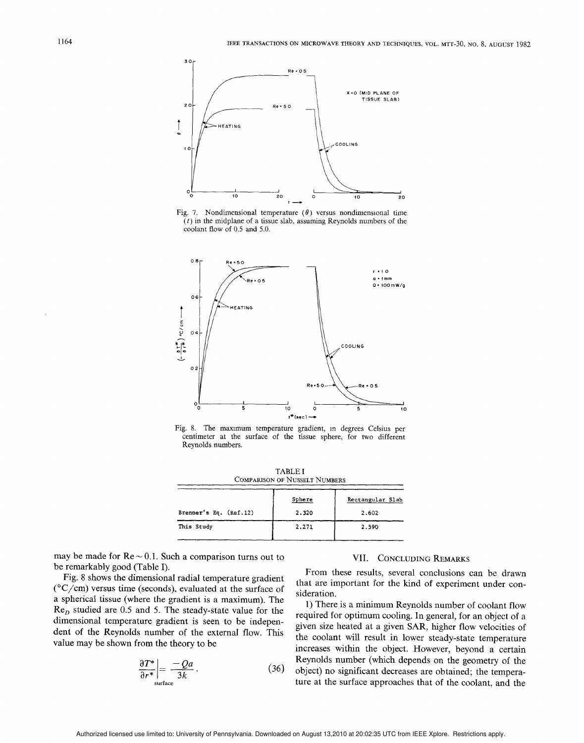

Fig. 7. Nondimensional temperature  $(\theta)$  versus nondimensional time  $(t)$  in the midplane of a tissue slab, assuming Reynolds numbers of the coolant flow of 0,5 and 5,0.



Fig. 8. The maxrmum temperature gradient, m degrees Celsius per centimeter at the surface of the tissue sphere, for two different Reynolds numbers.

TABLE I COMPARISON OF NUSSELT NUMBERS Sphere | Rectangular Slab Brenner's Eq. (Ref. 12) 2.320 2.602 This Study  $\begin{array}{ccc} 2.271 & 2.59 \end{array}$ 

may be made for  $Re \sim 0.1$ . Such a comparison turns out to be remarkably good (Table I).

Fig. 8 shows the dimensional radial temperature gradient  $(^{\circ}C/cm)$  versus time (seconds), evaluated at the surface of a spherical tissue (where the gradient is a maximum). The  $Re<sub>D</sub>$  studied are 0.5 and 5. The steady-state value for the dimensional temperature gradient is seen to be independent of the Reynolds number of the external flow. This value may be shown from the theory to be

$$
\left. \frac{\partial T^*}{\partial r^*} \right| = \frac{-Qa}{3k} \,. \tag{36}
$$

#### VII. CONCLUDING REMARKS

From these results, several conclusions can be drawn that are important for the kind of experiment under consideration.

1) There is a minimum Reynolds number of coolant flow required for optimum cooling. In general, for an object of a given size heated at a given SAR, higher flow velocities of the coolant will result in lower steady-state temperature increases within the object. However, beyond a certain Reynolds number (which depends on the geometry of the object) no significant decreases are obtained; the temperaure at the surface approaches that of the coolant, and the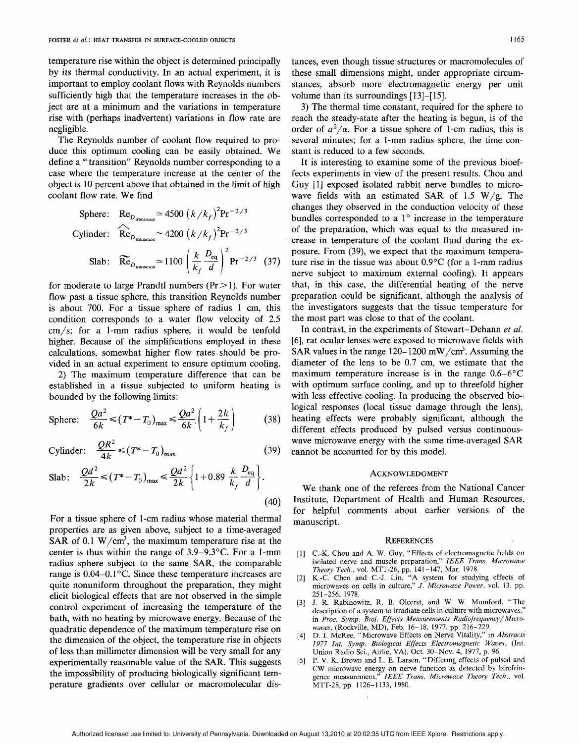temperature rise within the object is determined principally by its thermal conductivity. In an actual experiment, it is important to employ coolant flows with Reynolds numbers sufficiently high that the temperature increases in the object are at a minimum and the variations in temperature rise with (perhaps inadvertent) variations in flow rate are negligible.

The Reynolds number of coolant flow required to produce this optimum cooling can be easily obtained. We define a "transition" Reynolds number corresponding to a case where the temperature increase at the center of the object is 10 percent above that obtained in the limit of high coolant flow rate. We find

Sphere: Re<sub>D<sub>transition</sub></sub> 
$$
\simeq
$$
 4500  $(k/k_f)^2 \text{Pr}^{-2/3}$   
Cylinder: Re<sub>D<sub>transition</sub></sub>  $\simeq$  4200  $(k/k_f)^2 \text{Pr}^{-2/3}$   
Slab: Re<sub>D<sub>transition</sub></sub>  $\simeq$  1100  $\left(\frac{k}{k_f} \frac{D_{\text{eq}}}{d}\right)^2 \text{Pr}^{-2/3}$  (37)

for moderate to large Prandtl numbers ( $Pr > 1$ ). For water flow past a tissue sphere, this transition Reynolds number is about 700. For a tissue sphere of radius 1 cm, this condition corresponds to a water flow velocity of 2.5 cm/s; for a 1-mm radius sphere, it would be tenfold higher. Because of the simplifications employed in these calculations, somewhat higher flow rates should be provided in an actual experiment to ensure optimum cooling.

2) The maximum temperature difference that can be established in a tissue subjected to uniform heating is bounded by the following limits:

$$
\text{Sphere:} \quad \frac{Qa^2}{6k} \le (T^* - T_0)_{\text{max}} \le \frac{Qa^2}{6k} \left( 1 + \frac{2k}{k_f} \right) \tag{38}
$$

Cylinder: 
$$
\frac{QR^2}{4k} \le (T^* - T_0)_{\text{max}}
$$
 (39)

$$
\text{Slab:} \quad \frac{Qd^2}{2k} \le (T^* - T_0)_{\text{max}} \le \frac{Qd^2}{2k} \left\{ 1 + 0.89 \frac{k}{k_f} \frac{D_{\text{eq}}}{d} \right\}. \tag{40}
$$

For a tissue sphere of 1-cm radius whose material thermal properties are as given above, subject to a time-averaged SAR of 0.1 W/cm<sup>3</sup>, the maximum temperature rise at the center is thus within the range of 3.9–9.3"C. For a 1-mm radius sphere subject to the same SAR, the comparable range is  $0.04-0.1$  °C. Since these temperature increases are quite nonuniform throughout the preparation, they might elicit biological effects that are not observed in the simple control experiment of increasing the temperature of the bath, with no heating by microwave energy. Because of the quadratic dependence of the maximum temperature rise on the dimension of the object, the temperature rise in objects of less than millimeter dimension will be very small for any experimentally reasonable value of the SAR. This suggests the impossibility of producing biologically significant temperature gradients over cellular or macromolecular distances, even though tissue structures or macromolecules of these small dimensions might, under appropriate circumstances, absorb more electromagnetic energy per unit volume than its surroundings [13]–[15].

3) The thermal time constant, required for the sphere to reach the steady-state after the heating is begun, is of the order of  $a^2/\alpha$ . For a tissue sphere of 1-cm radius, this is several minutes; for a 1-mm radius sphere, the time constant is reduced to a few seconds.

It is interesting to examine some of the previous bioeffects experiments in view of the present results. Chou and Guy [1] exposed isolated rabbit nerve bundles to microwave fields with an estimated SAR of 1.5 W/g. The changes they observed in the conduction velocity of these bundles corresponded to a  $1^\circ$  increase in the temperature of the preparation, which was equal to the measured increase in temperature of the coolant fluid during the exposure. From (39), we expect that the maximum temperature rise in the tissue was about 0.9°C (for a I-mm radius nerve subject to maximum external cooling). It appears that, in this case, the differential heating of the nerve preparation could be significant, although the analysis of the investigators suggests that the tissue temperature for the most part was close to that of the coolant.

In contrast, in the experiments of Stewart–Dehann et al. [6], rat ocular lenses were exposed to microwave fields with SAR values in the range  $120-1200$  mW/cm<sup>3</sup>. Assuming the diameter of the lens to be 0.7 cm, we estimate that the maximum temperature increase is in the range  $0.6-6^{\circ}$ C with optimum surface cooling, and up to threefold higher with less effective cooling. In producing the observed biological responses (local tissue damage through the lens), heating effects were probably significant, although the different effects produced by pulsed versus continuouswave microwave energy with the same time-averaged SAR cannot be accounted for by this model.

#### ACKNOWLEDGMENT

We thank one of the referees from the National Cancer Institute, Department of Health and Human Resources, for helpful comments about earlier versions of the manuscript.

#### **REFERENCES**

- [1] C.-K. Chou and A. W. Guy, "Effects of electromagnetic fields on isolated nerve and muscle preparation," IEEE Trans. Microwa Theory Tech., vol. MTT-26, pp. 141–147, Mar. 1978.
- [2] K.-C. Chen and C.-J. Lin, "A system for studying effects of microwaves on cells in culture," J. Microwave Power, vol. 13, pp. 251-256, 1978.
- [3] J. R. Rabinowitz. R. B. Olcerst, and W. W. Mumford, "The description of a system to irradiate cells in culture with microwaves,' in Proc. Symp. Biol. Effects Measurements Radiofrequency/Microwaoes, (Rockville, MD), Feb. 16– 18, 1977, pp. 216–229.
- [4] D. I. McRee, "Microwave Effects on Nerve Vitality," in *Abstrac*. 1977 Int. Symp. Biological Effects Electromagnetic Waves, (Int. Union Radio Sci., Airlie, VA), Oct. 30-Nov. 4, 1977, p. 96.
- [5] P. V. K. Brown and L. E. Larsen, "Differing effects of pulsed and CW microwave energy on nerve function as detected by birefringence measurement," IEEE Trans. Microwave Theory Tech., vol MTT-28, pp 1126-1133, 1980.